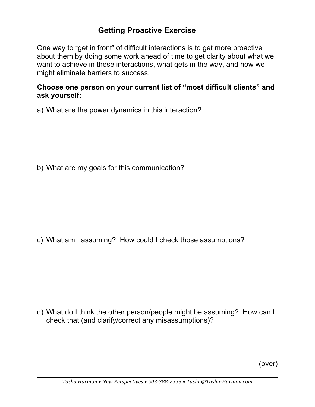## **Getting Proactive Exercise**

One way to "get in front" of difficult interactions is to get more proactive about them by doing some work ahead of time to get clarity about what we want to achieve in these interactions, what gets in the way, and how we might eliminate barriers to success.

## **Choose one person on your current list of "most difficult clients" and ask yourself:**

a) What are the power dynamics in this interaction?

b) What are my goals for this communication?

c) What am I assuming? How could I check those assumptions?

d) What do I think the other person/people might be assuming? How can I check that (and clarify/correct any misassumptions)?

(over)